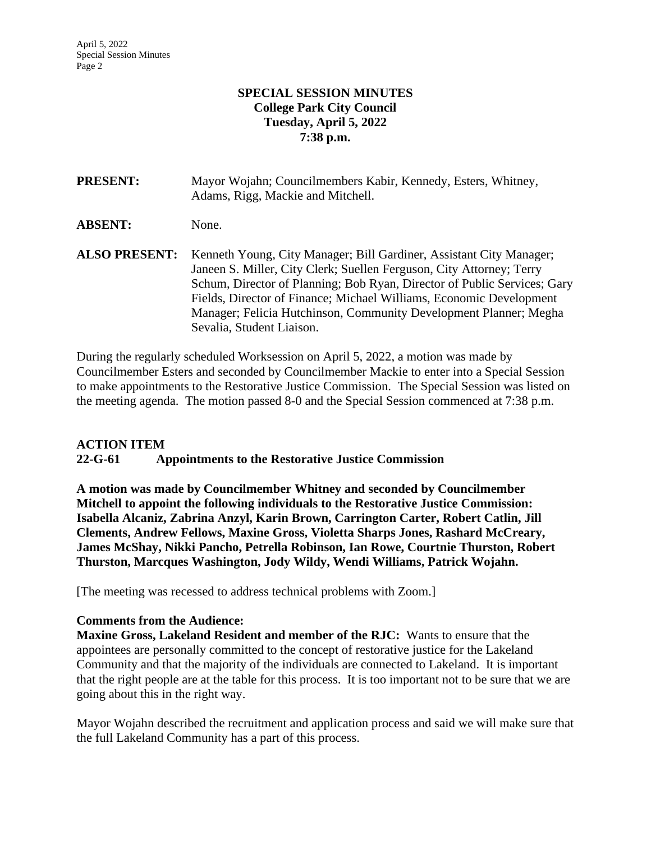## **SPECIAL SESSION MINUTES College Park City Council Tuesday, April 5, 2022 7:38 p.m.**

| <b>PRESENT:</b>      | Mayor Wojahn; Councilmembers Kabir, Kennedy, Esters, Whitney,<br>Adams, Rigg, Mackie and Mitchell.                                                                                                                                                                                                                                                                                               |
|----------------------|--------------------------------------------------------------------------------------------------------------------------------------------------------------------------------------------------------------------------------------------------------------------------------------------------------------------------------------------------------------------------------------------------|
| <b>ABSENT:</b>       | None.                                                                                                                                                                                                                                                                                                                                                                                            |
| <b>ALSO PRESENT:</b> | Kenneth Young, City Manager; Bill Gardiner, Assistant City Manager;<br>Janeen S. Miller, City Clerk; Suellen Ferguson, City Attorney; Terry<br>Schum, Director of Planning; Bob Ryan, Director of Public Services; Gary<br>Fields, Director of Finance; Michael Williams, Economic Development<br>Manager; Felicia Hutchinson, Community Development Planner; Megha<br>Sevalia, Student Liaison. |

During the regularly scheduled Worksession on April 5, 2022, a motion was made by Councilmember Esters and seconded by Councilmember Mackie to enter into a Special Session to make appointments to the Restorative Justice Commission. The Special Session was listed on the meeting agenda. The motion passed 8-0 and the Special Session commenced at 7:38 p.m.

## **ACTION ITEM**

**22-G-61 Appointments to the Restorative Justice Commission**

**A motion was made by Councilmember Whitney and seconded by Councilmember Mitchell to appoint the following individuals to the Restorative Justice Commission: Isabella Alcaniz, Zabrina Anzyl, Karin Brown, Carrington Carter, Robert Catlin, Jill Clements, Andrew Fellows, Maxine Gross, Violetta Sharps Jones, Rashard McCreary, James McShay, Nikki Pancho, Petrella Robinson, Ian Rowe, Courtnie Thurston, Robert Thurston, Marcques Washington, Jody Wildy, Wendi Williams, Patrick Wojahn.**

[The meeting was recessed to address technical problems with Zoom.]

## **Comments from the Audience:**

**Maxine Gross, Lakeland Resident and member of the RJC:** Wants to ensure that the appointees are personally committed to the concept of restorative justice for the Lakeland Community and that the majority of the individuals are connected to Lakeland. It is important that the right people are at the table for this process. It is too important not to be sure that we are going about this in the right way.

Mayor Wojahn described the recruitment and application process and said we will make sure that the full Lakeland Community has a part of this process.